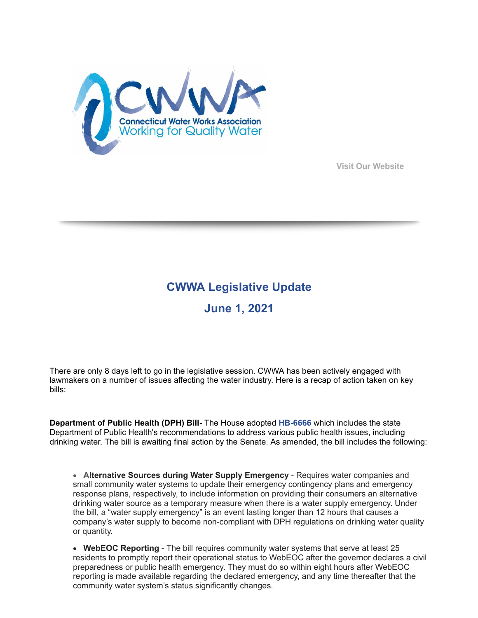

**[Visit Our Website](https://r20.rs6.net/tn.jsp?f=001MsP13eAtqIy7jB5z0p4hziX5hbLwAW0-33Y3GCrdRBJUWzHBpxTotBwTk3wvEhqISre-9GWTNyr4OJc2r2spJuh6F-KYqYX6vQd_8RVwQU0idfBhpyu08LDmv2MJoDHW4N3w0kcoqdQ=&c=BWRFngFcmGxyKj3rN110umvDqptRTrY1SFhYuMvz1tpWiNcPuc8Kfw==&ch=FIe6BX-220RuAoGFDvDizglrzauJMRjNAfTe7abh8GDRrm388RCLDg==)**

## **CWWA Legislative Update June 1, 2021**

There are only 8 days left to go in the legislative session. CWWA has been actively engaged with lawmakers on a number of issues affecting the water industry. Here is a recap of action taken on key bills:

**Department of Public Health (DPH) Bill-** The House adopted **[HB-6666](https://r20.rs6.net/tn.jsp?f=001MsP13eAtqIy7jB5z0p4hziX5hbLwAW0-33Y3GCrdRBJUWzHBpxTotPFAASawbVNCFysfCazRTKeRlgXu4bUzVFF3gOTEZ8kUw1BsbH289ywkaka0Is61swcyDRncr_bS_rdYG2LS4ufLf8LCwK00XoZ1ZwBTRgIh96CnhNGIaxVrvvuJJ2OeFI44He5-K-wMIoxO06iMRlY=&c=BWRFngFcmGxyKj3rN110umvDqptRTrY1SFhYuMvz1tpWiNcPuc8Kfw==&ch=FIe6BX-220RuAoGFDvDizglrzauJMRjNAfTe7abh8GDRrm388RCLDg==)** which includes the state Department of Public Health's recommendations to address various public health issues, including drinking water. The bill is awaiting final action by the Senate. As amended, the bill includes the following:

· **Alternative Sources during Water Supply Emergency** - Requires water companies and small community water systems to update their emergency contingency plans and emergency response plans, respectively, to include information on providing their consumers an alternative drinking water source as a temporary measure when there is a water supply emergency. Under the bill, a "water supply emergency" is an event lasting longer than 12 hours that causes a company's water supply to become non-compliant with DPH regulations on drinking water quality or quantity.

· **WebEOC Reporting** - The bill requires community water systems that serve at least 25 residents to promptly report their operational status to WebEOC after the governor declares a civil preparedness or public health emergency. They must do so within eight hours after WebEOC reporting is made available regarding the declared emergency, and any time thereafter that the community water system's status significantly changes.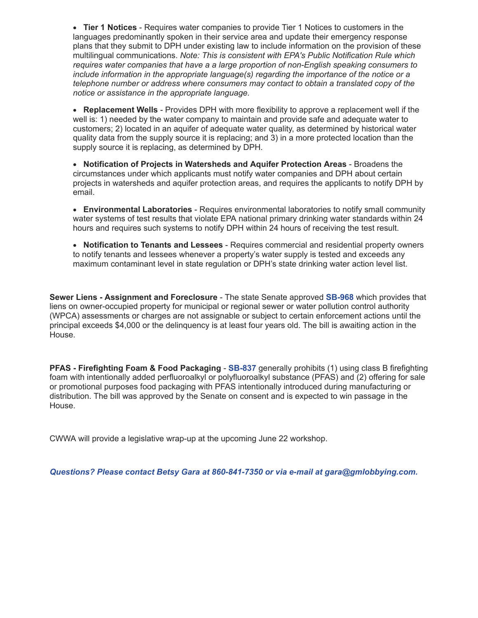· **Tier 1 Notices** - Requires water companies to provide Tier 1 Notices to customers in the languages predominantly spoken in their service area and update their emergency response plans that they submit to DPH under existing law to include information on the provision of these multilingual communications. *Note: This is consistent with EPA's Public Notification Rule which requires water companies that have a a large proportion of non-English speaking consumers to include information in the appropriate language(s) regarding the importance of the notice or a telephone number or address where consumers may contact to obtain a translated copy of the notice or assistance in the appropriate language.*

· **Replacement Wells** - Provides DPH with more flexibility to approve a replacement well if the well is: 1) needed by the water company to maintain and provide safe and adequate water to customers; 2) located in an aquifer of adequate water quality, as determined by historical water quality data from the supply source it is replacing; and 3) in a more protected location than the supply source it is replacing, as determined by DPH.

· **Notification of Projects in Watersheds and Aquifer Protection Areas** - Broadens the circumstances under which applicants must notify water companies and DPH about certain projects in watersheds and aquifer protection areas, and requires the applicants to notify DPH by email.

· **Environmental Laboratories** - Requires environmental laboratories to notify small community water systems of test results that violate EPA national primary drinking water standards within 24 hours and requires such systems to notify DPH within 24 hours of receiving the test result.

· **Notification to Tenants and Lessees** - Requires commercial and residential property owners to notify tenants and lessees whenever a property's water supply is tested and exceeds any maximum contaminant level in state regulation or DPH's state drinking water action level list.

**Sewer Liens - Assignment and Foreclosure** - The state Senate approved **[SB-968](https://r20.rs6.net/tn.jsp?f=001MsP13eAtqIy7jB5z0p4hziX5hbLwAW0-33Y3GCrdRBJUWzHBpxTotPFAASawbVNChQP-Jfs-vrQqK7f_2FqjPneWcPSN0nhOnksB2nByAEFPa4fveDJrvQTEWF5KmJzpMYzifbNBjuvWVhnjj9XusDbBYdj70MofdaPsAw7H71qUakJFY8HtFcd-6Ez6E2o1-TJHhEoCwlU=&c=BWRFngFcmGxyKj3rN110umvDqptRTrY1SFhYuMvz1tpWiNcPuc8Kfw==&ch=FIe6BX-220RuAoGFDvDizglrzauJMRjNAfTe7abh8GDRrm388RCLDg==)** which provides that liens on owner-occupied property for municipal or regional sewer or water pollution control authority (WPCA) assessments or charges are not assignable or subject to certain enforcement actions until the principal exceeds \$4,000 or the delinquency is at least four years old. The bill is awaiting action in the House.

**PFAS - Firefighting Foam & Food Packaging - [SB-837](https://r20.rs6.net/tn.jsp?f=001MsP13eAtqIy7jB5z0p4hziX5hbLwAW0-33Y3GCrdRBJUWzHBpxTotPFAASawbVNCa87v5y9QI77oMnYuMTn7dkQTXt86iHZzeQ-gmlaYfFt082f61qTa7E6N_6txYXwwPryDpRBANJ7sFyRrIiHFRTO3PIXEUtrTb61ia2xJFaHT1SddbiZZEVjyeRYUNFptOzI9MB6RnnI=&c=BWRFngFcmGxyKj3rN110umvDqptRTrY1SFhYuMvz1tpWiNcPuc8Kfw==&ch=FIe6BX-220RuAoGFDvDizglrzauJMRjNAfTe7abh8GDRrm388RCLDg==) generally prohibits (1) using class B firefighting** foam with intentionally added perfluoroalkyl or polyfluoroalkyl substance (PFAS) and (2) offering for sale or promotional purposes food packaging with PFAS intentionally introduced during manufacturing or distribution. The bill was approved by the Senate on consent and is expected to win passage in the House.

CWWA will provide a legislative wrap-up at the upcoming June 22 workshop.

*Questions? Please contact Betsy Gara at 860-841-7350 or via e-mail at [gara@gmlobbying.com](mailto:gara@gmlobbying.com).*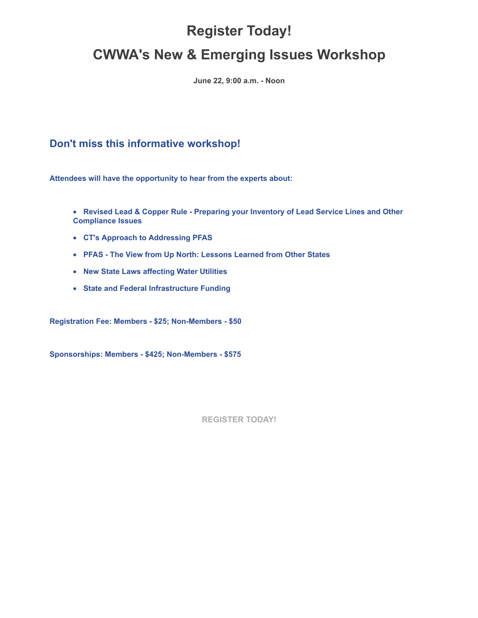## **Register Today! CWWA's New & Emerging Issues Workshop**

**June 22, 9:00 a.m. - Noon**

## **Don't miss this informative workshop!**

**Attendees will have the opportunity to hear from the experts about:**

· **Revised Lead & Copper Rule - Preparing your Inventory of Lead Service Lines and Other Compliance Issues**

- · **CT's Approach to Addressing PFAS**
- · **PFAS The View from Up North: Lessons Learned from Other States**
- · **New State Laws affecting Water Utilities**
- · **State and Federal Infrastructure Funding**

**Registration Fee: Members - \$25; Non-Members - \$50**

**Sponsorships: Members - \$425; Non-Members - \$575**

**[REGISTER TODAY!](https://r20.rs6.net/tn.jsp?f=001MsP13eAtqIy7jB5z0p4hziX5hbLwAW0-33Y3GCrdRBJUWzHBpxTotOu1QTzc5KtAVU-QvDpOumLnsgAyJPhggshwS7FEY2K3kQKAzOMr_dLm2tPK1PP6vUhk8r_3Fm0H_xDr_ZIPKJ5hyp7b8N37Vjt1pCoHQtSG8n98XVnMuirEkMpRLhbK_UOvuikrS8nYtRSUTE7UdlDFEL5xt6zprcrUobp27KES1wH-Qi07DxrYLGm3yZolvg==&c=BWRFngFcmGxyKj3rN110umvDqptRTrY1SFhYuMvz1tpWiNcPuc8Kfw==&ch=FIe6BX-220RuAoGFDvDizglrzauJMRjNAfTe7abh8GDRrm388RCLDg==)**